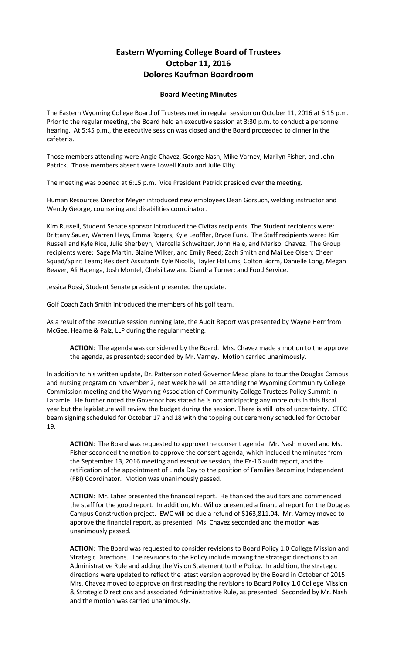## **Eastern Wyoming College Board of Trustees October 11, 2016 Dolores Kaufman Boardroom**

## **Board Meeting Minutes**

The Eastern Wyoming College Board of Trustees met in regular session on October 11, 2016 at 6:15 p.m. Prior to the regular meeting, the Board held an executive session at 3:30 p.m. to conduct a personnel hearing. At 5:45 p.m., the executive session was closed and the Board proceeded to dinner in the cafeteria.

Those members attending were Angie Chavez, George Nash, Mike Varney, Marilyn Fisher, and John Patrick. Those members absent were Lowell Kautz and Julie Kilty.

The meeting was opened at 6:15 p.m. Vice President Patrick presided over the meeting.

Human Resources Director Meyer introduced new employees Dean Gorsuch, welding instructor and Wendy George, counseling and disabilities coordinator.

Kim Russell, Student Senate sponsor introduced the Civitas recipients. The Student recipients were: Brittany Sauer, Warren Hays, Emma Rogers, Kyle Leoffler, Bryce Funk. The Staff recipients were: Kim Russell and Kyle Rice, Julie Sherbeyn, Marcella Schweitzer, John Hale, and Marisol Chavez. The Group recipients were: Sage Martin, Blaine Wilker, and Emily Reed; Zach Smith and Mai Lee Olsen; Cheer Squad/Spirit Team; Resident Assistants Kyle Nicolls, Tayler Hallums, Colton Borm, Danielle Long, Megan Beaver, Ali Hajenga, Josh Montel, Chelsi Law and Diandra Turner; and Food Service.

Jessica Rossi, Student Senate president presented the update.

Golf Coach Zach Smith introduced the members of his golf team.

As a result of the executive session running late, the Audit Report was presented by Wayne Herr from McGee, Hearne & Paiz, LLP during the regular meeting.

**ACTION**: The agenda was considered by the Board. Mrs. Chavez made a motion to the approve the agenda, as presented; seconded by Mr. Varney. Motion carried unanimously.

In addition to his written update, Dr. Patterson noted Governor Mead plans to tour the Douglas Campus and nursing program on November 2, next week he will be attending the Wyoming Community College Commission meeting and the Wyoming Association of Community College Trustees Policy Summit in Laramie. He further noted the Governor has stated he is not anticipating any more cuts in this fiscal year but the legislature will review the budget during the session. There is still lots of uncertainty. CTEC beam signing scheduled for October 17 and 18 with the topping out ceremony scheduled for October 19.

**ACTION**: The Board was requested to approve the consent agenda. Mr. Nash moved and Ms. Fisher seconded the motion to approve the consent agenda, which included the minutes from the September 13, 2016 meeting and executive session, the FY-16 audit report, and the ratification of the appointment of Linda Day to the position of Families Becoming Independent (FBI) Coordinator. Motion was unanimously passed.

**ACTION**: Mr. Laher presented the financial report. He thanked the auditors and commended the staff for the good report. In addition, Mr. Willox presented a financial report for the Douglas Campus Construction project. EWC will be due a refund of \$163,811.04. Mr. Varney moved to approve the financial report, as presented. Ms. Chavez seconded and the motion was unanimously passed.

**ACTION**: The Board was requested to consider revisions to Board Policy 1.0 College Mission and Strategic Directions. The revisions to the Policy include moving the strategic directions to an Administrative Rule and adding the Vision Statement to the Policy. In addition, the strategic directions were updated to reflect the latest version approved by the Board in October of 2015. Mrs. Chavez moved to approve on first reading the revisions to Board Policy 1.0 College Mission & Strategic Directions and associated Administrative Rule, as presented. Seconded by Mr. Nash and the motion was carried unanimously.